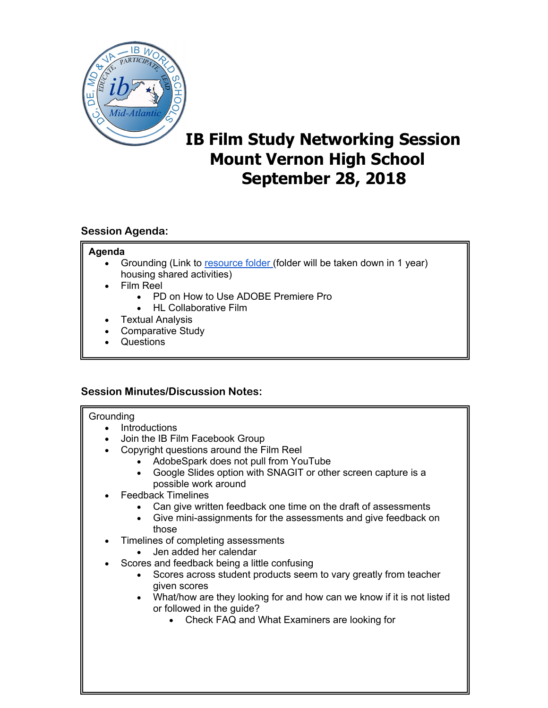

# **IB Film Study Networking Session Mount Vernon High School September 28, 2018**

# **Session Agenda:**

## **Agenda**

- Grounding (Link to [resource folder](https://drive.google.com/drive/folders/1run_CEaTT-fh_a2mvd5t4GdlFEAm8OkZ) (folder will be taken down in 1 year) housing shared activities)
- Film Reel
	- PD on How to Use ADOBE Premiere Pro
	- HL Collaborative Film
- **Textual Analysis**
- Comparative Study
- Questions

## **Session Minutes/Discussion Notes:**

#### **Grounding**

- Introductions
- Join the IB Film Facebook Group
- Copyright questions around the Film Reel
	- AdobeSpark does not pull from YouTube
		- Google Slides option with SNAGIT or other screen capture is a possible work around
- Feedback Timelines
	- Can give written feedback one time on the draft of assessments
	- Give mini-assignments for the assessments and give feedback on those
- Timelines of completing assessments
	- Jen added her calendar
- Scores and feedback being a little confusing
	- Scores across student products seem to vary greatly from teacher given scores
	- What/how are they looking for and how can we know if it is not listed or followed in the guide?
		- Check FAQ and What Examiners are looking for